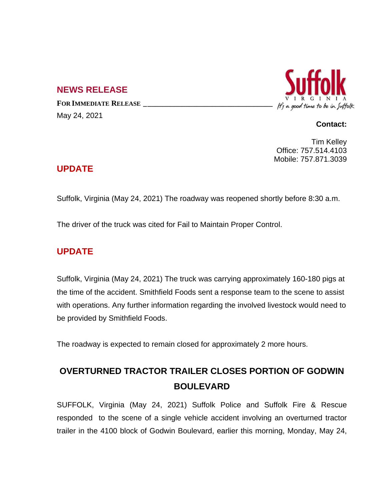### **NEWS RELEASE**

**FOR IMMEDIATE RELEASE \_\_\_\_\_\_\_\_\_\_\_\_\_\_\_\_\_\_\_\_\_\_\_\_\_\_\_\_\_\_\_\_\_\_** May 24, 2021



#### **Contact:**

Tim Kelley Office: 757.514.4103 Mobile: 757.871.3039

### **UPDATE**

Suffolk, Virginia (May 24, 2021) The roadway was reopened shortly before 8:30 a.m.

The driver of the truck was cited for Fail to Maintain Proper Control.

## **UPDATE**

Suffolk, Virginia (May 24, 2021) The truck was carrying approximately 160-180 pigs at the time of the accident. Smithfield Foods sent a response team to the scene to assist with operations. Any further information regarding the involved livestock would need to be provided by Smithfield Foods.

The roadway is expected to remain closed for approximately 2 more hours.

# **OVERTURNED TRACTOR TRAILER CLOSES PORTION OF GODWIN BOULEVARD**

SUFFOLK, Virginia (May 24, 2021) Suffolk Police and Suffolk Fire & Rescue responded to the scene of a single vehicle accident involving an overturned tractor trailer in the 4100 block of Godwin Boulevard, earlier this morning, Monday, May 24,